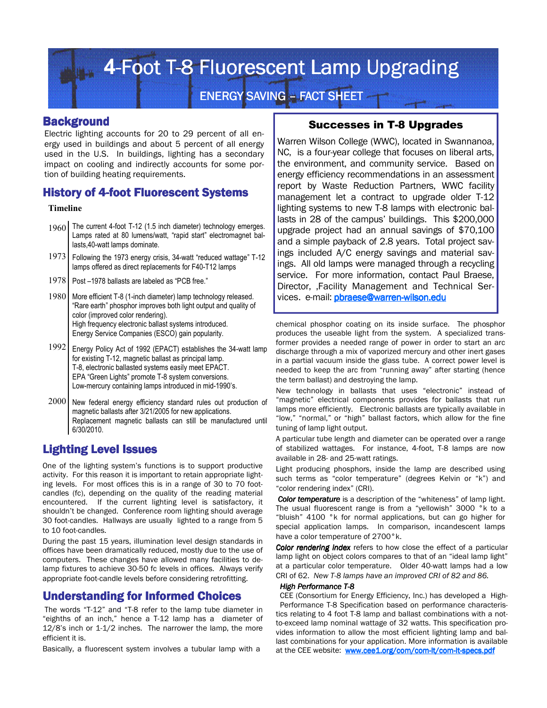**4-Foot T-8 Fluorescent Lamp Upgrading** 

**ENERGY SAVING - FACT SHEET** 

#### **Background**

Electric lighting accounts for 20 to 29 percent of all energy used in buildings and about 5 percent of all energy used in the U.S. In buildings, lighting has a secondary impact on cooling and indirectly accounts for some portion of building heating requirements.

## History of 4-foot Fluorescent Systems

#### **Timeline**

- 1960 The current 4-foot T-12 (1.5 inch diameter) technology emerges. Lamps rated at 80 lumens/watt, "rapid start" electromagnet ballasts,40-watt lamps dominate.
- 1973 Following the 1973 energy crisis, 34-watt "reduced wattage" T-12 lamps offered as direct replacements for F40-T12 lamps
- 1978 | Post –1978 ballasts are labeled as "PCB free."
- 1980 More efficient T-8 (1-inch diameter) lamp technology released. "Rare earth" phosphor improves both light output and quality of color (improved color rendering). High frequency electronic ballast systems introduced. Energy Service Companies (ESCO) gain popularity.
- 1992 Energy Policy Act of 1992 (EPACT) establishes the 34-watt lamp for existing T-12, magnetic ballast as principal lamp. T-8, electronic ballasted systems easily meet EPACT. EPA "Green Lights" promote T-8 system conversions. Low-mercury containing lamps introduced in mid-1990's.
- 2000 New federal energy efficiency standard rules out production of magnetic ballasts after 3/21/2005 for new applications. Replacement magnetic ballasts can still be manufactured until 6/30/2010.

# Lighting Level Issues

One of the lighting system's functions is to support productive activity. For this reason it is important to retain appropriate lighting levels. For most offices this is in a range of 30 to 70 footcandles (fc), depending on the quality of the reading material encountered. If the current lighting level is satisfactory, it shouldn't be changed. Conference room lighting should average 30 foot-candles. Hallways are usually lighted to a range from 5 to 10 foot-candles.

During the past 15 years, illumination level design standards in offices have been dramatically reduced, mostly due to the use of computers. These changes have allowed many facilities to delamp fixtures to achieve 30-50 fc levels in offices. Always verify appropriate foot-candle levels before considering retrofitting.

# **Understanding for Informed Choices**

 The words "T-12" and "T-8 refer to the lamp tube diameter in "eighths of an inch," hence a T-12 lamp has a diameter of 12/8's inch or 1-1/2 inches. The narrower the lamp, the more efficient it is.

Basically, a fluorescent system involves a tubular lamp with a

# Successes in T-8 Upgrades

Warren Wilson College (WWC), located in Swannanoa, NC, is a four-year college that focuses on liberal arts, the environment, and community service. Based on energy efficiency recommendations in an assessment report by Waste Reduction Partners, WWC facility management let a contract to upgrade older T-12 lighting systems to new T-8 lamps with electronic ballasts in 28 of the campus' buildings. This \$200,000 upgrade project had an annual savings of \$70,100 and a simple payback of 2.8 years. Total project savings included A/C energy savings and material savings. All old lamps were managed through a recycling service. For more information, contact Paul Braese, Director, ,Facility Management and Technical Services. e-mail: **pbraese@warren-wilson.edu** 

chemical phosphor coating on its inside surface. The phosphor produces the useable light from the system. A specialized transformer provides a needed range of power in order to start an arc discharge through a mix of vaporized mercury and other inert gases in a partial vacuum inside the glass tube. A correct power level is needed to keep the arc from "running away" after starting (hence the term ballast) and destroying the lamp.

New technology in ballasts that uses "electronic" instead of "magnetic" electrical components provides for ballasts that run lamps more efficiently. Electronic ballasts are typically available in "low," "normal," or "high" ballast factors, which allow for the fine tuning of lamp light output.

A particular tube length and diameter can be operated over a range of stabilized wattages. For instance, 4-foot, T-8 lamps are now available in 28- and 25-watt ratings.

Light producing phosphors, inside the lamp are described using such terms as "color temperature" (degrees Kelvin or "k") and "color rendering index" (CRI).

*Color temperature* is a description of the "whiteness" of lamp light. The usual fluorescent range is from a "yellowish" 3000 °k to a "bluish" 4100 °k for normal applications, but can go higher for special application lamps. In comparison, incandescent lamps have a color temperature of 2700°k.

**Color rendering index** refers to how close the effect of a particular lamp light on object colors compares to that of an "ideal lamp light" at a particular color temperature. Older 40-watt lamps had a low CRI of 62. *New T-8 lamps have an improved CRI of 82 and 86.* 

#### **High Performance T-8**

CEE (Consortium for Energy Efficiency, Inc.) has developed a High-Performance T-8 Specification based on performance characteristics relating to 4 foot T-8 lamp and ballast combinations with a notto-exceed lamp nominal wattage of 32 watts. This specification provides information to allow the most efficient lighting lamp and ballast combinations for your application. More information is available at the CEE website: www.cee1.org/com/com-lt/com-lt-specs.pdf